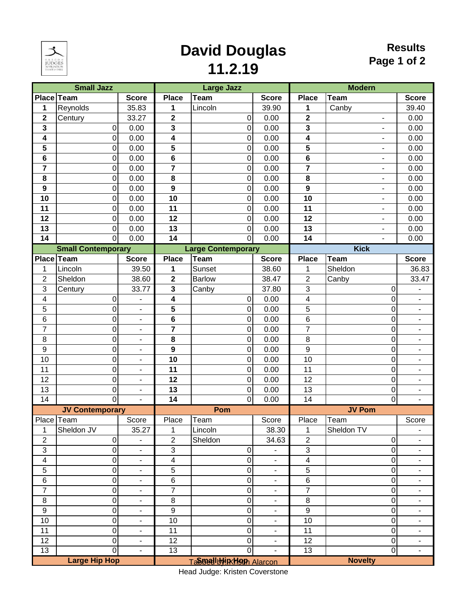

# **David Douglas**

#### **Results Page 1 of 2**

**11.2.19**

|                         | <b>Small Jazz</b>         |                              |                         | <b>Large Jazz</b>         |                          | <b>Modern</b>           |                          |                              |  |
|-------------------------|---------------------------|------------------------------|-------------------------|---------------------------|--------------------------|-------------------------|--------------------------|------------------------------|--|
| Place Team              |                           | <b>Score</b>                 | <b>Place</b>            | <b>Team</b>               | <b>Score</b>             | <b>Place</b>            | <b>Team</b>              | <b>Score</b>                 |  |
| 1                       | Reynolds                  | 35.83                        | 1                       | Lincoln                   | 39.90                    | 1                       | Canby                    | 39.40                        |  |
| $\mathbf 2$             | Century                   | 33.27                        | $\mathbf 2$             | $\overline{0}$            | 0.00                     | $\overline{\mathbf{2}}$ | $\overline{\phantom{a}}$ | 0.00                         |  |
| 3                       | 0                         | 0.00                         | 3                       | $\overline{0}$            | 0.00                     | 3                       | $\blacksquare$           | 0.00                         |  |
| $\overline{\mathbf{4}}$ | 0                         | 0.00                         | 4                       | $\overline{0}$            | 0.00                     | 4                       | $\overline{\phantom{a}}$ | 0.00                         |  |
| 5                       | 0                         | 0.00                         | 5                       | $\overline{0}$            | 0.00                     | 5                       | $\overline{\phantom{a}}$ | 0.00                         |  |
| $\overline{\mathbf{6}}$ | 0                         | 0.00                         | $6\phantom{1}$          | $\overline{0}$            | 0.00                     | 6                       | $\blacksquare$           | 0.00                         |  |
| $\overline{7}$          | 0                         | 0.00                         | $\overline{7}$          | $\overline{0}$            | 0.00                     | $\overline{7}$          | $\overline{\phantom{a}}$ | 0.00                         |  |
| 8                       | 0                         | 0.00                         | 8                       | $\overline{0}$            | 0.00                     | 8                       | $\overline{\phantom{0}}$ | 0.00                         |  |
| $\overline{9}$          | 0                         | 0.00                         | $\mathbf{9}$            | $\overline{0}$            | 0.00                     | 9                       | $\overline{\phantom{0}}$ | 0.00                         |  |
| 10                      | 0                         | 0.00                         | 10                      | $\overline{0}$            | 0.00                     | 10                      | $\blacksquare$           | 0.00                         |  |
| 11                      | 0                         | 0.00                         | 11                      | $\overline{0}$            | 0.00                     | 11                      | -                        | 0.00                         |  |
| 12                      | 0                         | 0.00                         | 12                      | $\overline{0}$            | 0.00                     | 12                      | $\overline{\phantom{a}}$ | 0.00                         |  |
| 13                      | 0                         | 0.00                         | 13                      | $\overline{0}$            | 0.00                     | 13                      | $\frac{1}{2}$            | 0.00                         |  |
| 14                      | Ō                         | 0.00                         | 14                      | $\overline{0}$            | 0.00                     | 14                      | $\blacksquare$           | 0.00                         |  |
|                         | <b>Small Contemporary</b> |                              |                         | <b>Large Contemporary</b> |                          |                         | <b>Kick</b>              |                              |  |
| Place Team              |                           | <b>Score</b>                 | <b>Place</b>            | Team                      | <b>Score</b>             | <b>Place</b>            | <b>Team</b>              | <b>Score</b>                 |  |
| 1                       | Lincoln                   | 39.50                        | 1                       | Sunset                    | 38.60                    | 1                       | Sheldon                  | 36.83                        |  |
| $\overline{2}$          | Sheldon                   | 38.60                        | $\overline{\mathbf{2}}$ | <b>Barlow</b>             | 38.47                    | $\overline{c}$          |                          | 33.47                        |  |
|                         |                           |                              |                         |                           |                          |                         | Canby                    |                              |  |
| 3                       | Century                   | 33.77                        | 3                       | Canby                     | 37.80                    | 3                       | 0                        |                              |  |
| $\overline{\mathbf{4}}$ | 0                         | $\overline{\phantom{m}}$     | 4                       | $\overline{0}$            | 0.00                     | 4                       | 0                        | $\blacksquare$               |  |
| 5                       | 0                         | $\qquad \qquad \blacksquare$ | 5                       | $\overline{0}$            | 0.00                     | 5                       | 0                        | $\overline{\phantom{a}}$     |  |
| 6                       | 0                         | $\blacksquare$               | 6                       | $\overline{0}$            | 0.00                     | 6                       | 0                        | $\overline{\phantom{a}}$     |  |
| $\overline{7}$          | 0                         | $\overline{\phantom{a}}$     | 7                       | $\overline{0}$            | 0.00                     | $\overline{7}$          | 0                        | -                            |  |
| 8                       | 0                         | $\blacksquare$               | 8                       | $\overline{0}$            | 0.00                     | 8                       | 0                        | $\overline{a}$               |  |
| $\boldsymbol{9}$        | 0                         | $\overline{\phantom{a}}$     | $\boldsymbol{9}$        | $\overline{0}$            | 0.00                     | 9                       | 0                        | $\overline{\phantom{a}}$     |  |
| 10                      | 0                         | ۰                            | 10                      | $\overline{0}$            | 0.00                     | 10                      | 0                        | ۰                            |  |
| 11                      | 0                         | $\blacksquare$               | 11                      | $\overline{0}$            | 0.00                     | 11                      | 0                        | ٠                            |  |
| 12                      | 0                         | $\overline{\phantom{0}}$     | 12                      | $\overline{0}$            | 0.00                     | 12                      | 0                        | $\blacksquare$               |  |
| 13                      | 0                         | $\overline{\phantom{m}}$     | 13                      | $\overline{0}$            | 0.00                     | 13                      | 0                        | $\blacksquare$               |  |
| $\overline{14}$         | 0                         |                              | $\overline{14}$         | $\overline{0}$            | 0.00                     | $\overline{14}$         | 0                        |                              |  |
|                         | <b>JV Contemporary</b>    |                              |                         | Pom                       |                          |                         | <b>JV Pom</b>            |                              |  |
| Place Team              |                           | Score                        | Place                   | Team                      | Score                    | Place                   | Team                     | Score                        |  |
| 1                       | Sheldon JV                | 35.27                        | 1                       | Lincoln                   | 38.30                    | 1                       | Sheldon TV               | $\qquad \qquad \blacksquare$ |  |
| $\overline{2}$          | $\mathbf 0$               |                              | $\overline{2}$          | Sheldon                   | 34.63                    | $\overline{2}$          | $\boldsymbol{0}$         | ÷,                           |  |
| $\sqrt{3}$              | 0                         | $\overline{\phantom{a}}$     | $\mathsf 3$             | $\boldsymbol{0}$          |                          | 3                       | 0                        | $\overline{\phantom{a}}$     |  |
| $\overline{\mathbf{4}}$ | 0                         | ۰                            | $\overline{\mathbf{4}}$ | $\boldsymbol{0}$          | $\overline{\phantom{a}}$ | $\overline{\mathbf{4}}$ | 0                        | ۰                            |  |
| 5                       | 0                         | $\blacksquare$               | $\overline{5}$          | $\boldsymbol{0}$          | $\overline{\phantom{a}}$ | $\overline{5}$          | 0                        | ٠                            |  |
| $\,6$                   | 0                         | $\overline{a}$               | 6                       | $\boldsymbol{0}$          | $\blacksquare$           | 6                       | 0                        | $\overline{\phantom{0}}$     |  |
| $\overline{7}$          | 0                         | $\overline{a}$               | $\overline{7}$          | $\boldsymbol{0}$          | $\overline{a}$           | $\overline{7}$          | 0                        | $\overline{\phantom{a}}$     |  |
| $\bf 8$                 | 0                         | $\qquad \qquad \blacksquare$ | $\bf 8$                 | $\boldsymbol{0}$          | $\overline{\phantom{a}}$ | 8                       | 0                        | $\overline{\phantom{a}}$     |  |
| $\boldsymbol{9}$        | 0                         | ۰                            | $\boldsymbol{9}$        | $\boldsymbol{0}$          | ۰                        | $\boldsymbol{9}$        | 0                        | ۰                            |  |
| 10                      | 0                         | $\blacksquare$               | 10                      | $\boldsymbol{0}$          | $\overline{\phantom{a}}$ | 10                      | 0                        | $\overline{\phantom{a}}$     |  |
| 11                      | 0                         | $\overline{\phantom{0}}$     | 11                      | $\boldsymbol{0}$          | ٠                        | 11                      | 0                        | Ξ.                           |  |
| 12                      | 0                         | $\blacksquare$               | 12                      | $\boldsymbol{0}$          | $\overline{\phantom{a}}$ | 12                      | 0                        | -                            |  |
| 13                      | 0                         | $\blacksquare$               | $\overline{13}$         | $\overline{0}$            |                          | $\overline{13}$         | 0                        | $\overline{\phantom{a}}$     |  |
|                         | <b>Large Hip Hop</b>      |                              |                         | Tangulululuk Hom Alarcon  |                          |                         | <b>Novelty</b>           |                              |  |

Head Judge: Kristen Coverstone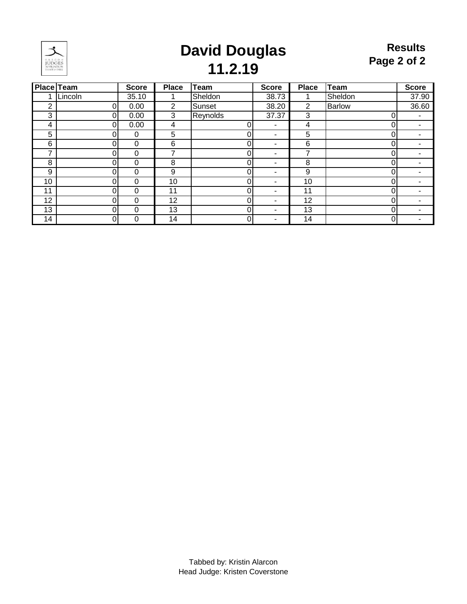

### **David Douglas 11.2.19**

| <b>Place Team</b> |          | <b>Score</b> | <b>Place</b> | <b>Team</b>    | <b>Score</b> | <b>Place</b>   | <b>Team</b>   | <b>Score</b>             |
|-------------------|----------|--------------|--------------|----------------|--------------|----------------|---------------|--------------------------|
| 1                 | Lincoln  | 35.10        |              | Sheldon        | 38.73        |                | Sheldon       | 37.90                    |
| 2                 | $\Omega$ | 0.00         | 2            | Sunset         | 38.20        | $\overline{2}$ | <b>Barlow</b> | 36.60                    |
| 3                 |          | 0.00         | 3            | Reynolds       | 37.37        | 3              | 0             | ٠                        |
| 4                 |          | 0.00         | 4            | 0              | -            | 4              |               |                          |
| 5                 |          | 0            | 5            | 0              | ۰            | 5              | 0             | $\overline{\phantom{0}}$ |
| 6                 |          | 0            | 6            | 0              | -            | 6              |               |                          |
| ⇁                 |          | 0            | 7            | 0              | -            |                | 0             | ٠                        |
| 8                 |          | 0            | 8            | 0              | -            | 8              |               |                          |
| 9                 | O        | 0            | 9            | 0              | -            | 9              | 0             | -                        |
| 10                |          | 0            | 10           | 0              | -            | 10             | 0             |                          |
| 11                |          | 0            | 11           | 0              | -            | 11             | 0             | $\overline{\phantom{0}}$ |
| 12                |          | 0            | 12           | 0              | -            | 12             | 0             |                          |
| 13                |          | 0            | 13           | 0              | -            | 13             |               | ۰                        |
| 14                | 0        | 0            | 14           | $\overline{0}$ | ۰            | 14             | 0             |                          |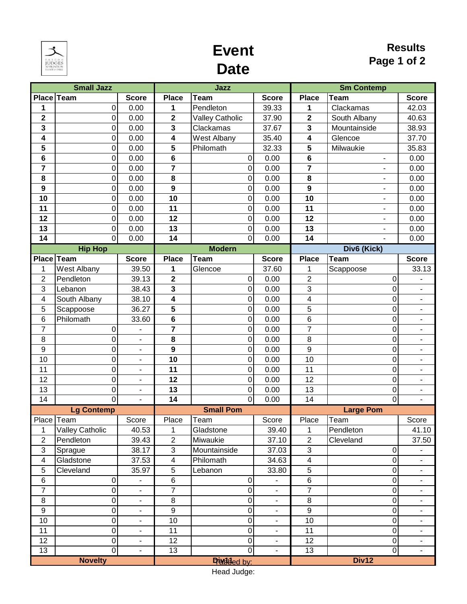

### **Event Date**

#### **Results Page 1 of 2**

|                  | <b>Small Jazz</b> |                              |                         | Jazz                   |                              | <b>Sm Contemp</b>       |                              |                          |  |
|------------------|-------------------|------------------------------|-------------------------|------------------------|------------------------------|-------------------------|------------------------------|--------------------------|--|
| Place Team       |                   | <b>Score</b>                 | <b>Place</b>            | <b>Team</b>            | <b>Score</b>                 | <b>Place</b>            | <b>Team</b>                  | <b>Score</b>             |  |
| 1                | 0                 | 0.00                         | 1                       | Pendleton              | 39.33                        | 1                       | Clackamas                    | 42.03                    |  |
| $\mathbf{2}$     | 0                 | 0.00                         | $\overline{\mathbf{2}}$ | <b>Valley Catholic</b> | 37.90                        | $\mathbf 2$             | South Albany                 | 40.63                    |  |
| $\mathbf{3}$     | 0                 | 0.00                         | $\mathbf{3}$            | Clackamas              | 37.67                        | 3                       | Mountainside                 | 38.93                    |  |
| 4                | 0                 | 0.00                         | $\overline{\mathbf{4}}$ | <b>West Albany</b>     | 35.40                        | 4                       | Glencoe                      | 37.70                    |  |
| 5                | 0                 | 0.00                         | $\overline{\mathbf{5}}$ | Philomath              | 32.33                        | 5                       | Milwaukie                    | 35.83                    |  |
| 6                | 0                 | 0.00                         | $\bf 6$                 | 0                      | 0.00                         | $\bf 6$                 | ۰                            | 0.00                     |  |
| $\overline{7}$   | 0                 | 0.00                         | $\overline{7}$          | 0                      | 0.00                         | $\overline{7}$          |                              | 0.00                     |  |
| 8                | 0                 | 0.00                         | 8                       | 0                      | 0.00                         | 8                       | $\qquad \qquad \blacksquare$ | 0.00                     |  |
| $\boldsymbol{9}$ | 0                 | 0.00                         | 9                       | 0                      | 0.00                         | $\boldsymbol{9}$        |                              | 0.00                     |  |
| 10               | 0                 | 0.00                         | 10                      | 0                      | 0.00                         | 10                      | $\overline{a}$               | 0.00                     |  |
| 11               | 0                 | 0.00                         | 11                      | 0                      | 0.00                         | 11                      | $\overline{\phantom{0}}$     | 0.00                     |  |
| 12               | 0                 | 0.00                         | 12                      | 0                      | 0.00                         | 12                      | $\qquad \qquad \blacksquare$ | 0.00                     |  |
| 13               | 0                 | 0.00                         | 13                      | 0                      | 0.00                         | 13                      | $\qquad \qquad \blacksquare$ | 0.00                     |  |
| 14               | $\overline{0}$    | 0.00                         | $\overline{14}$         | $\overline{0}$         | 0.00                         | 14                      | $\overline{a}$               | 0.00                     |  |
|                  | <b>Hip Hop</b>    |                              |                         | <b>Modern</b>          |                              |                         | Div6 (Kick)                  |                          |  |
| Place Team       |                   | <b>Score</b>                 | <b>Place</b>            | <b>Team</b>            | <b>Score</b>                 | <b>Place</b>            | <b>Team</b>                  | <b>Score</b>             |  |
| 1                | West Albany       | 39.50                        | 1                       | Glencoe                | 37.60                        | 1                       | Scappoose                    | 33.13                    |  |
| $\overline{2}$   | Pendleton         | 39.13                        | $\overline{2}$          | 0                      | 0.00                         | $\overline{2}$          | 0                            |                          |  |
| 3                | Lebanon           | 38.43                        | 3                       | 0                      | 0.00                         | 3                       | 0                            | $\overline{\phantom{a}}$ |  |
| 4                | South Albany      | 38.10                        | $\overline{\mathbf{4}}$ | 0                      | 0.00                         | 4                       | 0                            | $\overline{\phantom{a}}$ |  |
| 5                | Scappoose         | 36.27                        | $5\phantom{1}$          | 0                      | 0.00                         | 5                       | 0                            | $\blacksquare$           |  |
| 6                | Philomath         | 33.60                        | $\bf 6$                 | 0                      | 0.00                         | $\,6$                   | 0                            | ۰                        |  |
| 7                | 0                 | $\overline{\phantom{m}}$     | $\overline{7}$          | 0                      | 0.00                         | $\overline{7}$          | 0                            | $\overline{\phantom{a}}$ |  |
| 8                | 0                 | $\overline{a}$               | 8                       | 0                      | 0.00                         | 8                       | 0                            | $\overline{\phantom{a}}$ |  |
| $\boldsymbol{9}$ | 0                 | $\blacksquare$               | $\boldsymbol{9}$        | 0                      | 0.00                         | $\overline{9}$          | 0                            | $\blacksquare$           |  |
| 10               | 0                 | $\blacksquare$               | 10                      | 0                      | 0.00                         | 10                      | 0                            | $\overline{\phantom{a}}$ |  |
| 11               | 0                 | $\overline{\phantom{m}}$     | 11                      | 0                      | 0.00                         | 11                      | 0                            | $\overline{\phantom{0}}$ |  |
| 12               | $\mathbf 0$       | $\qquad \qquad \blacksquare$ | 12                      | 0                      | 0.00                         | 12                      | 0                            | ۰                        |  |
| 13               | 0                 | $\blacksquare$               | 13                      | 0                      | 0.00                         | 13                      | 0                            | $\overline{\phantom{a}}$ |  |
| 14               | $\overline{0}$    | $\overline{a}$               | $\overline{14}$         | $\overline{0}$         | 0.00                         | 14                      | $\overline{0}$               | $\overline{a}$           |  |
|                  | <b>Lg Contemp</b> |                              |                         | <b>Small Pom</b>       |                              |                         | <b>Large Pom</b>             |                          |  |
| Place Team       |                   | Score                        | Place                   | Team                   | Score                        | Place                   | Team                         | Score                    |  |
| 1                | Valley Catholic   | 40.53                        | 1                       | Gladstone              | 39.40                        | 1                       | Pendleton                    | 41.10                    |  |
| $\overline{2}$   | Pendleton         | 39.43                        | $\overline{2}$          | Miwaukie               | 37.10                        | $\overline{2}$          | Cleveland                    | 37.50                    |  |
| 3                | Sprague           | 38.17                        | $\sqrt{3}$              | Mountainside           | 37.03                        | $\mathsf 3$             | 0                            |                          |  |
| 4                | Gladstone         | 37.53                        | $\overline{\mathbf{4}}$ | Philomath              | 34.63                        | $\overline{\mathbf{4}}$ | 0                            | $\overline{\phantom{a}}$ |  |
| 5                | Cleveland         | 35.97                        | $\sqrt{5}$              | Lebanon                | 33.80                        | $\sqrt{5}$              | 0                            | $\blacksquare$           |  |
| 6                | 0                 | $\qquad \qquad \blacksquare$ | $\,6$                   | 0                      | $\overline{a}$               | $\,6$                   | 0                            | $\blacksquare$           |  |
| $\overline{7}$   | 0                 | $\qquad \qquad \blacksquare$ | $\overline{7}$          | 0                      |                              | $\overline{7}$          | 0                            | $\overline{\phantom{a}}$ |  |
| $\, 8$           | 0                 | $\overline{a}$               | 8                       | 0                      | $\overline{a}$               | 8                       | 0                            | $\overline{\phantom{a}}$ |  |
| $\boldsymbol{9}$ | 0                 | $\qquad \qquad \blacksquare$ | $\boldsymbol{9}$        | 0                      | $\blacksquare$               | $\boldsymbol{9}$        | $\overline{0}$               | $\overline{\phantom{a}}$ |  |
| 10               | 0                 | -                            | 10                      | 0                      | $\qquad \qquad \blacksquare$ | 10                      | $\mathsf{O}\xspace$          | ۰                        |  |
| 11               | $\mathbf 0$       | $\blacksquare$               | 11                      | 0                      | $\overline{\phantom{a}}$     | 11                      | $\overline{0}$               | $\blacksquare$           |  |
| 12               | 0                 |                              | 12                      | 0                      |                              | 12                      | $\overline{0}$               |                          |  |
| 13               | $\overline{0}$    | $\Box$                       | $\overline{13}$         | $\overline{0}$         | $\overline{a}$               | 13                      | $\overline{0}$               | ÷.                       |  |
|                  | <b>Novelty</b>    |                              |                         | Diadided by:           |                              | Div12                   |                              |                          |  |

Head Judge: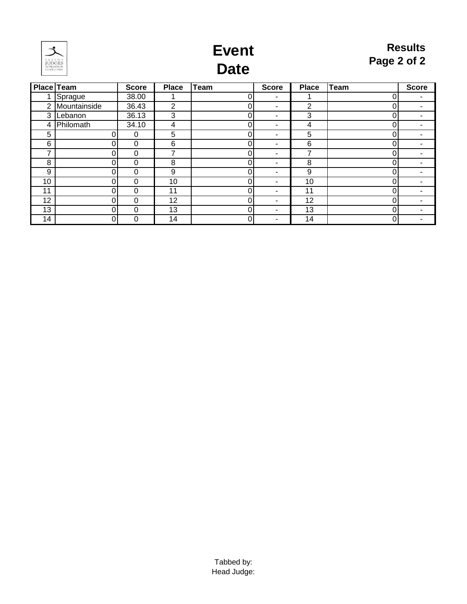

### **Event Date**

|                 | <b>Place Team</b> | <b>Score</b> | <b>Place</b>   | <b>Team</b> | <b>Score</b>   | <b>Place</b> | <b>Team</b> | <b>Score</b> |
|-----------------|-------------------|--------------|----------------|-------------|----------------|--------------|-------------|--------------|
|                 | Sprague           | 38.00        |                | 0           | $\blacksquare$ |              |             | ٠            |
| 2               | Mountainside      | 36.43        | $\overline{2}$ | 0           |                | 2            |             | ٠            |
| 3               | Lebanon           | 36.13        | 3              | 0           |                | 3            |             | ٠            |
| 4               | Philomath         | 34.10        | 4              | 0           |                | 4            |             |              |
| 5               | $\Omega$          | 0            | 5              | 0           |                | 5            | 0           | ۰            |
| 6               |                   | 0            | 6              | 0           | -              | 6            |             | ۰            |
| ⇁               | 0                 | 0            | 7              | 0           | -              |              |             | ٠            |
| 8               |                   | $\mathbf 0$  | 8              | 0           | $\blacksquare$ | 8            |             | -            |
| 9               |                   | 0            | 9              | 0           | ۰              | 9            |             | ۰.           |
| 10 <sup>°</sup> | 0                 | $\mathbf 0$  | 10             | 0           | -              | 10           | 0           |              |
| 11              |                   | 0            | 11             | 0           | -              | 11           |             | ۰            |
| 12              | $\Omega$          | 0            | 12             | 0           | $\blacksquare$ | 12           | 0           | ۰.           |
| 13              |                   | 0            | 13             | 0           |                | 13           |             | -            |
| 14              |                   | 0            | 14             | 0           | -              | 14           |             |              |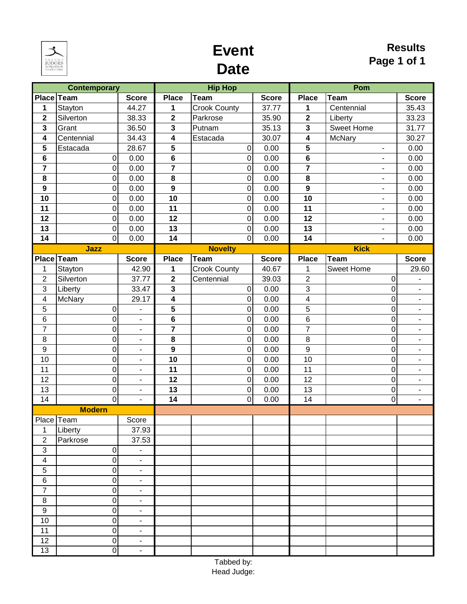

# **Event Date**

|                         | <b>Contemporary</b>     |                              |                              | <b>Hip Hop</b>                       |                |                       | Pom                              |                               |  |
|-------------------------|-------------------------|------------------------------|------------------------------|--------------------------------------|----------------|-----------------------|----------------------------------|-------------------------------|--|
|                         | Place Team              | <b>Score</b>                 | <b>Place</b>                 | Team                                 | <b>Score</b>   | <b>Place</b>          | <b>Team</b>                      | <b>Score</b>                  |  |
| 1                       | Stayton                 | 44.27                        | 1                            | <b>Crook County</b>                  | 37.77          | 1                     | Centennial                       | 35.43                         |  |
| $\overline{\mathbf{2}}$ | Silverton               | 38.33                        | $\mathbf{2}$                 | Parkrose                             | 35.90          | $\mathbf{2}$          | Liberty                          | 33.23                         |  |
| $\mathbf{3}$            | Grant                   | 36.50                        | $\mathbf{3}$                 | Putnam                               | 35.13          | 3                     | <b>Sweet Home</b>                | 31.77                         |  |
| $\overline{\mathbf{4}}$ | Centennial              | 34.43                        | 4                            | Estacada                             | 30.07          | 4                     | McNary                           | 30.27                         |  |
| 5                       | Estacada                | 28.67                        | 5                            | $\boldsymbol{0}$                     | 0.00           | 5                     | $\overline{\phantom{a}}$         | 0.00                          |  |
| $\bf 6$                 | $\pmb{0}$               | 0.00                         | $\bf 6$                      | $\overline{0}$                       | 0.00           | 6                     | L.                               | 0.00                          |  |
| $\overline{7}$          | $\mathbf 0$             | 0.00                         | $\overline{\mathbf{r}}$      | $\overline{0}$                       | 0.00           | $\overline{7}$        |                                  | 0.00                          |  |
| 8                       | 0                       | 0.00                         | 8                            | $\boldsymbol{0}$                     | 0.00           | 8                     | $\blacksquare$                   | 0.00                          |  |
| $\mathbf{9}$            | $\mathbf 0$             | 0.00                         | $\mathbf{9}$                 | $\mathbf 0$                          | 0.00           | $\mathbf{9}$          | $\blacksquare$                   | 0.00                          |  |
| 10                      | $\mathbf 0$             | 0.00                         | 10                           | $\boldsymbol{0}$                     | 0.00           | 10                    | $\overline{\phantom{a}}$         | 0.00                          |  |
| 11                      | $\boldsymbol{0}$        | 0.00                         | 11                           | $\overline{0}$                       | 0.00           | 11                    | $\overline{a}$                   | 0.00                          |  |
| 12                      | $\mathbf 0$             | 0.00                         | 12                           | $\overline{0}$                       | 0.00           | 12                    | $\overline{\phantom{0}}$         | 0.00                          |  |
| 13                      | $\boldsymbol{0}$        | 0.00                         | 13                           | $\overline{0}$                       | 0.00           | 13                    | $\blacksquare$                   | 0.00                          |  |
| 14                      | $\overline{\mathsf{o}}$ | 0.00                         | 14                           | $\overline{0}$                       | 0.00           | 14                    | $\overline{\phantom{a}}$         | 0.00                          |  |
|                         | Jazz                    |                              |                              | <b>Novelty</b>                       |                |                       | <b>Kick</b>                      |                               |  |
|                         | Place Team              | <b>Score</b>                 | <b>Place</b>                 | Team                                 | <b>Score</b>   | <b>Place</b>          | <b>Team</b><br><b>Sweet Home</b> | <b>Score</b>                  |  |
| 1<br>$\overline{2}$     | Stayton<br>Silverton    | 42.90<br>37.77               | 1<br>$\mathbf{2}$            | <b>Crook County</b><br>Centennial    | 40.67<br>39.03 | 1<br>$\boldsymbol{2}$ |                                  | 29.60                         |  |
| 3                       |                         | 33.47                        |                              |                                      | 0.00           | 3                     | 0<br>$\overline{0}$              | $\overline{\phantom{m}}$      |  |
| $\overline{\mathbf{4}}$ | Liberty<br>McNary       | 29.17                        | 3                            | $\boldsymbol{0}$<br>$\boldsymbol{0}$ | 0.00           | 4                     | 0                                | $\overline{\phantom{0}}$      |  |
| 5                       | $\mathbf 0$             | $\blacksquare$               | 4<br>$\overline{\mathbf{5}}$ | $\overline{0}$                       | 0.00           | $\overline{5}$        | 0                                | ۰<br>$\overline{\phantom{a}}$ |  |
| $6\phantom{1}$          | $\mathbf 0$             | $\overline{\phantom{a}}$     | $\bf 6$                      | $\overline{0}$                       | 0.00           | $\,6$                 | 0                                | $\overline{\phantom{0}}$      |  |
| $\overline{7}$          | $\mathbf 0$             | $\overline{\phantom{a}}$     | $\overline{\mathbf{7}}$      | $\overline{0}$                       | 0.00           | $\overline{7}$        | 0                                | ۰                             |  |
| 8                       | $\mathbf 0$             | $\blacksquare$               | 8                            | $\mathbf 0$                          | 0.00           | 8                     | $\overline{0}$                   | $\overline{\phantom{0}}$      |  |
| $\boldsymbol{9}$        | $\mathbf 0$             | $\overline{\phantom{a}}$     | $\boldsymbol{9}$             | $\overline{0}$                       | 0.00           | $9$                   | 0                                | $\blacksquare$                |  |
| 10                      | $\mathbf 0$             | $\blacksquare$               | 10                           | $\overline{0}$                       | 0.00           | 10                    | 0                                | $\overline{\phantom{a}}$      |  |
| 11                      | $\mathbf 0$             | $\blacksquare$               | 11                           | $\overline{0}$                       | 0.00           | 11                    | 0                                | $\overline{\phantom{m}}$      |  |
| 12                      | $\mathbf 0$             | $\overline{\phantom{a}}$     | 12                           | $\overline{0}$                       | 0.00           | 12                    | 0                                | ۰                             |  |
| 13                      | $\mathbf 0$             | $\blacksquare$               | 13                           | $\mathbf 0$                          | 0.00           | 13                    | $\mathbf 0$                      | $\overline{\phantom{0}}$      |  |
| 14                      | $\overline{0}$          | $\blacksquare$               | $\overline{14}$              | $\overline{0}$                       | 0.00           | $\overline{14}$       | $\overline{\mathsf{o}}$          | ÷,                            |  |
|                         | <b>Modern</b>           |                              |                              |                                      |                |                       |                                  |                               |  |
| Place Team              |                         | Score                        |                              |                                      |                |                       |                                  |                               |  |
| 1                       | Liberty                 | 37.93                        |                              |                                      |                |                       |                                  |                               |  |
| $\overline{2}$          | Parkrose                | 37.53                        |                              |                                      |                |                       |                                  |                               |  |
| $\sqrt{3}$              | $\mathbf 0$             |                              |                              |                                      |                |                       |                                  |                               |  |
| $\overline{\mathbf{4}}$ | $\pmb{0}$               | $\overline{\phantom{0}}$     |                              |                                      |                |                       |                                  |                               |  |
| 5                       | $\mathbf 0$             | ۰                            |                              |                                      |                |                       |                                  |                               |  |
| $\,6$                   | 0                       | $\blacksquare$               |                              |                                      |                |                       |                                  |                               |  |
| $\overline{7}$          | $\mathbf 0$             | $\qquad \qquad \blacksquare$ |                              |                                      |                |                       |                                  |                               |  |
| $\, 8$                  | $\mathbf 0$             | $\qquad \qquad \blacksquare$ |                              |                                      |                |                       |                                  |                               |  |
| $\boldsymbol{9}$        | $\pmb{0}$               | $\overline{\phantom{0}}$     |                              |                                      |                |                       |                                  |                               |  |
| 10                      | $\mathbf 0$             | ٠                            |                              |                                      |                |                       |                                  |                               |  |
| 11                      | $\mathbf 0$             | $\overline{\phantom{a}}$     |                              |                                      |                |                       |                                  |                               |  |
| 12                      | $\mathbf 0$             | ÷,                           |                              |                                      |                |                       |                                  |                               |  |
| 13                      | 0                       | ÷,                           |                              |                                      |                |                       |                                  |                               |  |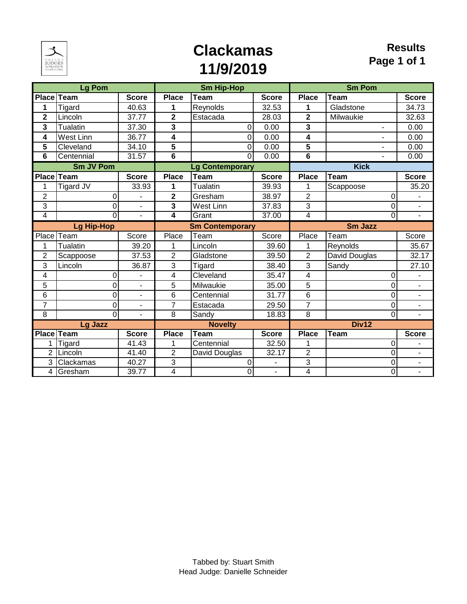

# **Clackamas 11/9/2019**

|                   | <b>Lg Pom</b>     |                          |                         | <b>Sm Hip-Hop</b>      |              |                | <b>Sm Pom</b>            |          |                          |
|-------------------|-------------------|--------------------------|-------------------------|------------------------|--------------|----------------|--------------------------|----------|--------------------------|
| <b>Place Team</b> |                   | <b>Score</b>             | <b>Place</b>            | <b>Team</b>            | <b>Score</b> | <b>Place</b>   | <b>Team</b>              |          | <b>Score</b>             |
| 1                 | Tigard            | 40.63                    | 1                       | Reynolds               | 32.53        | 1              | Gladstone                |          | 34.73                    |
| $\overline{2}$    | Lincoln           | 37.77                    | $\overline{\mathbf{2}}$ | Estacada               | 28.03        | $\overline{2}$ | Milwaukie                |          | 32.63                    |
| 3                 | Tualatin          | 37.30                    | 3                       | $\overline{0}$         | 0.00         | 3              | $\blacksquare$           |          | 0.00                     |
| 4                 | <b>West Linn</b>  | 36.77                    | 4                       | 0                      | 0.00         | 4              | $\overline{\phantom{a}}$ |          | 0.00                     |
| 5                 | Cleveland         | 34.10                    | 5                       | $\overline{0}$         | 0.00         | 5              | L.                       |          | 0.00                     |
| 6                 | Centennial        | 31.57                    | $\overline{6}$          | $\Omega$               | 0.00         | $\overline{6}$ | $\overline{\phantom{a}}$ |          | 0.00                     |
|                   | <b>Sm JV Pom</b>  |                          |                         | <b>Lg Contemporary</b> |              |                | <b>Kick</b>              |          |                          |
| <b>Place</b>      | Team              | <b>Score</b>             | <b>Place</b>            | <b>Team</b>            | <b>Score</b> | <b>Place</b>   | <b>Team</b>              |          | <b>Score</b>             |
| 1                 | <b>Tigard JV</b>  | 33.93                    | 1                       | <b>Tualatin</b>        | 39.93        | 1              | Scappoose                |          | 35.20                    |
| $\overline{2}$    | 0                 |                          | $\mathbf 2$             | Gresham                | 38.97        | $\overline{2}$ |                          | 0        |                          |
| 3                 | 0                 |                          | 3                       | <b>West Linn</b>       | 37.83        | $\overline{3}$ |                          | 0        | $\overline{\phantom{a}}$ |
| 4                 | 0                 | ÷.                       | 4                       | Grant                  | 37.00        | $\overline{4}$ |                          | 0        | $\overline{\phantom{a}}$ |
|                   | <b>Lg Hip-Hop</b> |                          |                         | <b>Sm Contemporary</b> |              |                | Sm Jazz                  |          |                          |
| Place             | Team              | Score                    | Place                   | Team                   | Score        | Place          | Team                     |          | Score                    |
| 1                 | Tualatin          | 39.20                    | 1                       | Lincoln                | 39.60        | 1              | Reynolds                 |          | 35.67                    |
| $\overline{2}$    | Scappoose         | 37.53                    | $\overline{2}$          | Gladstone              | 39.50        | $\overline{2}$ | David Douglas            |          | 32.17                    |
| 3                 | Lincoln           | 36.87                    | 3                       | Tigard                 | 38.40        | 3              | Sandy                    |          | 27.10                    |
| 4                 | 0                 |                          | 4                       | Cleveland              | 35.47        | 4              |                          | 0        |                          |
| 5                 | 0                 | $\overline{\phantom{a}}$ | 5                       | Milwaukie              | 35.00        | 5              |                          | 0        | -                        |
| 6                 | 0                 |                          | 6                       | Centennial             | 31.77        | 6              |                          | 0        |                          |
| $\overline{7}$    | $\overline{0}$    | $\overline{\phantom{a}}$ | $\overline{7}$          | Estacada               | 29.50        | $\overline{7}$ |                          | 0        | $\overline{\phantom{0}}$ |
| 8                 | $\overline{0}$    | $\overline{\phantom{a}}$ | 8                       | Sandy                  | 18.83        | $\overline{8}$ |                          | $\Omega$ | $\blacksquare$           |
|                   | Lg Jazz           |                          |                         | <b>Novelty</b>         |              |                | Div12                    |          |                          |
| <b>Place Team</b> |                   | <b>Score</b>             | <b>Place</b>            | <b>Team</b>            | <b>Score</b> | <b>Place</b>   | Team                     |          | <b>Score</b>             |
| 1                 | Tigard            | 41.43                    | 1                       | Centennial             | 32.50        | 1              |                          | 0        |                          |
| $\overline{2}$    | Lincoln           | 41.40                    | $\overline{2}$          | David Douglas          | 32.17        | $\overline{2}$ |                          | 0        | $\overline{\phantom{0}}$ |
| 3                 | Clackamas         | 40.27                    | $\overline{3}$          | 0                      | ÷,           | $\overline{3}$ |                          | 0        | $\overline{\phantom{0}}$ |
| 4                 | Gresham           | 39.77                    | 4                       | $\overline{0}$         |              | 4              |                          | 0        |                          |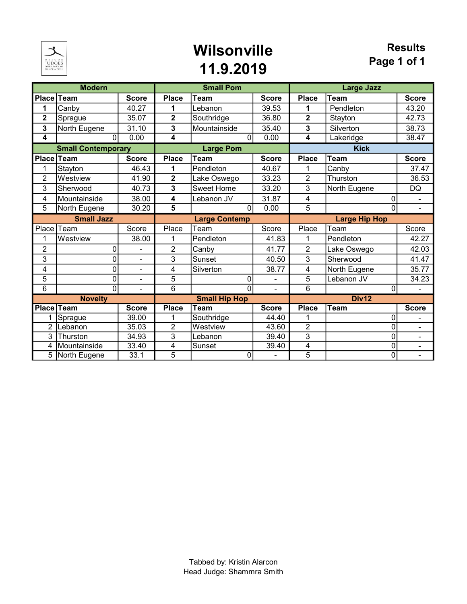

### Wilsonville 11.9.2019

|                   | <b>Modern</b>             |                          |                         | <b>Small Pom</b>     |              |                      | <b>Large Jazz</b> |                          |
|-------------------|---------------------------|--------------------------|-------------------------|----------------------|--------------|----------------------|-------------------|--------------------------|
| <b>Place</b>      | Team                      | <b>Score</b>             | <b>Place</b>            | <b>Team</b>          | <b>Score</b> | <b>Place</b>         | Team              | <b>Score</b>             |
| 1                 | Canby                     | 40.27                    | 1                       | Lebanon              | 39.53        | 1                    | Pendleton         | 43.20                    |
| $\overline{2}$    | Sprague                   | 35.07                    | $\overline{2}$          | Southridge           | 36.80        | $\overline{2}$       | Stayton           | 42.73                    |
| 3                 | North Eugene              | 31.10                    | 3                       | Mountainside         | 35.40        | 3                    | Silverton         | 38.73                    |
| 4                 | $\Omega$                  | 0.00                     | 4                       | $\Omega$             | 0.00         | 4                    | Lakeridge         | 38.47                    |
|                   | <b>Small Contemporary</b> |                          |                         | <b>Large Pom</b>     |              |                      | <b>Kick</b>       |                          |
| Place             | Team<br><b>Score</b>      |                          | <b>Place</b>            | Team                 | <b>Score</b> | <b>Place</b>         | <b>Team</b>       | <b>Score</b>             |
| 1                 | Stayton                   | 46.43                    | 1                       | Pendleton            | 40.67        | 1                    | Canby             | 37.47                    |
| $\overline{c}$    | Westview                  | 41.90                    | $\overline{\mathbf{2}}$ | Lake Oswego          | 33.23        | $\overline{2}$       | Thurston          | 36.53                    |
| 3                 | Sherwood                  | 40.73                    | 3                       | <b>Sweet Home</b>    | 33.20        | 3                    | North Eugene      | <b>DQ</b>                |
| 4                 | Mountainside              | 38.00                    | 4                       | Lebanon JV           | 31.87        | 4                    | 0                 |                          |
| 5                 | North Eugene              | 30.20                    | 5                       | $\mathbf{0}$         | 0.00         | 5                    | 0                 | $\blacksquare$           |
| <b>Small Jazz</b> |                           |                          | <b>Large Contemp</b>    |                      |              | <b>Large Hip Hop</b> |                   |                          |
| Place             | Team                      | Score                    | Place                   | Team                 | Score        | Place                | Team              | Score                    |
| 1                 | Westview                  | 38.00                    | 1                       | Pendleton            | 41.83        | 1                    | Pendleton         | 42.27                    |
| $\overline{2}$    | 0                         |                          | $\overline{2}$          | Canby                | 41.77        | $\overline{2}$       | Lake Oswego       | 42.03                    |
| 3                 | 0                         | $\overline{\phantom{a}}$ | 3                       | Sunset               | 40.50        | $\overline{3}$       | Sherwood          | 41.47                    |
| 4                 | 0                         | $\overline{\phantom{a}}$ | 4                       | Silverton            | 38.77        | 4                    | North Eugene      | 35.77                    |
| 5                 | 0                         |                          | 5                       | 0                    |              | 5                    | Lebanon JV        | 34.23                    |
| $\overline{6}$    | $\overline{0}$            | $\overline{a}$           | $\overline{6}$          | $\overline{0}$       |              | $\overline{6}$       | 0                 |                          |
| <b>Novelty</b>    |                           |                          |                         | <b>Small Hip Hop</b> |              |                      | Div12             |                          |
| <b>Place</b>      | <b>Team</b>               | <b>Score</b>             | <b>Place</b>            | Team                 | <b>Score</b> | <b>Place</b>         | Team              | <b>Score</b>             |
| 1                 | Sprague                   | 39.00                    | 1                       | Southridge           | 44.40        | 1                    | 0                 | -                        |
| $\overline{2}$    | Lebanon                   | 35.03                    | $\overline{2}$          | Westview             | 43.60        | $\overline{2}$       | 0                 | ۰                        |
| 3                 | Thurston                  | 34.93                    | 3                       | Lebanon              | 39.40        | $\overline{3}$       | 0                 | -                        |
| 4                 | Mountainside              | 33.40                    | 4                       | Sunset               | 39.40        | 4                    | 0                 | -                        |
| 5                 | North Eugene              | 33.1                     | 5                       | 0                    | Ξ.           | $\overline{5}$       | 0                 | $\overline{\phantom{0}}$ |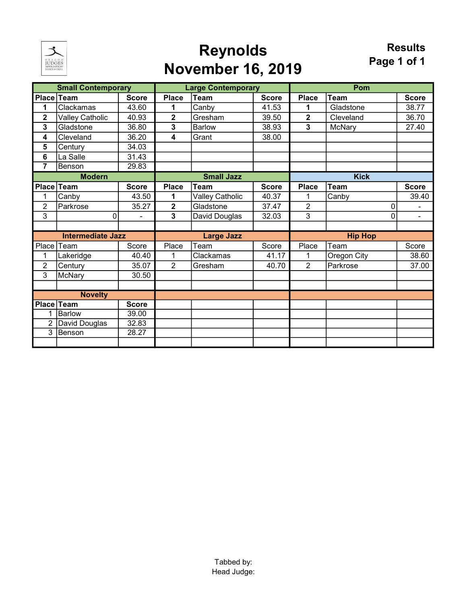

# Reynolds November 16, 2019

|                         | <b>Small Contemporary</b> |              |                   | <b>Large Contemporary</b> |              |                         | Pom           |              |
|-------------------------|---------------------------|--------------|-------------------|---------------------------|--------------|-------------------------|---------------|--------------|
|                         | Place Team                | <b>Score</b> | <b>Place</b>      | Team                      | <b>Score</b> | <b>Place</b>            | <b>Team</b>   | <b>Score</b> |
| 1                       | Clackamas                 | 43.60        | 1                 | Canby                     | 41.53        | 1                       | Gladstone     | 38.77        |
| $\mathbf 2$             | <b>Valley Catholic</b>    | 40.93        | $\mathbf 2$       | Gresham                   | 39.50        | $\overline{\mathbf{2}}$ | Cleveland     | 36.70        |
| 3                       | Gladstone                 | 36.80        | 3                 | <b>Barlow</b>             | 38.93        | 3                       | <b>McNary</b> | 27.40        |
| 4                       | Cleveland                 | 36.20        | 4                 | Grant                     | 38.00        |                         |               |              |
| 5                       | Century                   | 34.03        |                   |                           |              |                         |               |              |
| $6\phantom{1}6$         | La Salle                  | 31.43        |                   |                           |              |                         |               |              |
| $\overline{\mathbf{7}}$ | <b>Benson</b>             | 29.83        |                   |                           |              |                         |               |              |
|                         | <b>Modern</b>             |              |                   | <b>Small Jazz</b>         |              |                         | <b>Kick</b>   |              |
| Place                   | Team                      | <b>Score</b> | <b>Place</b>      | Team                      | <b>Score</b> | <b>Place</b>            | <b>Team</b>   | <b>Score</b> |
| 1                       | Canby                     | 43.50        | 1                 | <b>Valley Catholic</b>    | 40.37        | 1                       | Canby         | 39.40        |
| $\overline{2}$          | Parkrose                  | 35.27        | $\mathbf 2$       | Gladstone                 | 37.47        | $\overline{2}$          | 0             | ۰            |
| 3                       | 0                         |              | 3                 | David Douglas             | 32.03        | 3                       | 0             |              |
|                         |                           |              |                   |                           |              |                         |               |              |
|                         | <b>Intermediate Jazz</b>  |              | <b>Large Jazz</b> |                           |              | <b>Hip Hop</b>          |               |              |
| Place                   | Team                      | Score        | Place             | Team                      | Score        | Place                   | Team          | Score        |
| 1                       | Lakeridge                 | 40.40        | 1                 | Clackamas                 | 41.17        | 1                       | Oregon City   | 38.60        |
| $\overline{2}$          | Century                   | 35.07        | $\overline{2}$    | Gresham                   | 40.70        | $\overline{2}$          | Parkrose      | 37.00        |
| 3                       | McNary                    | 30.50        |                   |                           |              |                         |               |              |
|                         |                           |              |                   |                           |              |                         |               |              |
|                         | <b>Novelty</b>            |              |                   |                           |              |                         |               |              |
|                         | Place Team                | <b>Score</b> |                   |                           |              |                         |               |              |
| 1                       | <b>Barlow</b>             | 39.00        |                   |                           |              |                         |               |              |
| $\overline{2}$          | David Douglas             | 32.83        |                   |                           |              |                         |               |              |
| 3                       | Benson                    | 28.27        |                   |                           |              |                         |               |              |
|                         |                           |              |                   |                           |              |                         |               |              |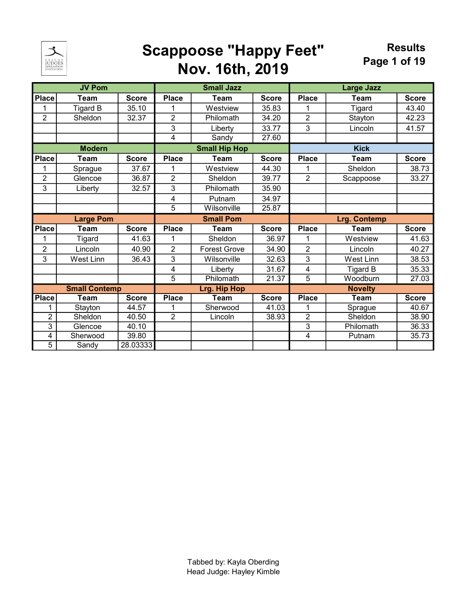

### Scappoose "Happy Feet" Nov. 16th, 2019

|                                      | <b>JV Pom</b>        |              |                | <b>Small Jazz</b>    |              | <b>Large Jazz</b> |                  |              |  |
|--------------------------------------|----------------------|--------------|----------------|----------------------|--------------|-------------------|------------------|--------------|--|
| <b>Place</b>                         | <b>Team</b>          | <b>Score</b> | <b>Place</b>   | <b>Team</b>          | <b>Score</b> | <b>Place</b>      | <b>Team</b>      | <b>Score</b> |  |
| 1                                    | <b>Tigard B</b>      | 35.10        |                | Westview             | 35.83        |                   | <b>Tigard</b>    | 43.40        |  |
| $\overline{2}$                       | Sheldon              | 32.37        | 2              | Philomath            | 34.20        | $\overline{2}$    | Stayton          | 42.23        |  |
|                                      |                      |              | 3              | Liberty              | 33.77        | 3                 | Lincoln          | 41.57        |  |
|                                      |                      |              | 4              | Sandy                | 27.60        |                   |                  |              |  |
| <b>Modern</b>                        |                      |              |                | <b>Small Hip Hop</b> |              |                   | <b>Kick</b>      |              |  |
| <b>Place</b><br>Team<br><b>Score</b> |                      |              | <b>Place</b>   | <b>Team</b>          | <b>Score</b> | <b>Place</b>      | <b>Team</b>      | <b>Score</b> |  |
| 1                                    | Sprague              | 37.67        | 1              | Westview             | 44.30        |                   | Sheldon          | 38.73        |  |
| $\mathbf 2$                          | Glencoe              | 36.87        | $\overline{2}$ | Sheldon              | 39.77        | $\overline{2}$    | Scappoose        | 33.27        |  |
| 3                                    | Liberty              | 32.57        | 3              | Philomath            | 35.90        |                   |                  |              |  |
|                                      |                      |              | 4              | Putnam               | 34.97        |                   |                  |              |  |
|                                      |                      |              | 5              | Wilsonville          | 25.87        |                   |                  |              |  |
|                                      | <b>Large Pom</b>     |              |                | <b>Small Pom</b>     |              |                   | Lrg. Contemp     |              |  |
| <b>Place</b>                         | <b>Team</b>          | <b>Score</b> | <b>Place</b>   | <b>Team</b>          | <b>Score</b> | <b>Place</b>      | <b>Team</b>      | <b>Score</b> |  |
| 1                                    | <b>Tigard</b>        | 41.63        | 1              | Sheldon              | 36.97        | 1                 | Westview         | 41.63        |  |
| $\overline{2}$                       | Lincoln              | 40.90        | $\overline{2}$ | <b>Forest Grove</b>  | 34.90        | $\overline{2}$    | Lincoln          | 40.27        |  |
| 3                                    | <b>West Linn</b>     | 36.43        | 3              | Wilsonville          | 32.63        | 3                 | <b>West Linn</b> | 38.53        |  |
|                                      |                      |              | 4              | Liberty              | 31.67        | 4                 | <b>Tigard B</b>  | 35.33        |  |
|                                      |                      |              | $\overline{5}$ | Philomath            | 21.37        | $\overline{5}$    | Woodburn         | 27.03        |  |
|                                      | <b>Small Contemp</b> |              |                | <b>Lrg. Hip Hop</b>  |              |                   | <b>Novelty</b>   |              |  |
| <b>Place</b>                         | Team                 | <b>Score</b> | <b>Place</b>   | Team                 | <b>Score</b> | <b>Place</b>      | <b>Team</b>      | <b>Score</b> |  |
| 1                                    | Stayton              | 44.57        |                | Sherwood             | 41.03        |                   | Sprague          | 40.67        |  |
| $\overline{2}$                       | Sheldon              | 40.50        | $\overline{2}$ | Lincoln              | 38.93        | $\overline{2}$    | Sheldon          | 38.90        |  |
| $\overline{3}$                       | Glencoe              | 40.10        |                |                      |              | $\overline{3}$    | Philomath        | 36.33        |  |
| 4                                    | Sherwood             | 39.80        |                |                      |              | 4                 | Putnam           | 35.73        |  |
| $\overline{5}$                       | Sandy                | 28.03333     |                |                      |              |                   |                  |              |  |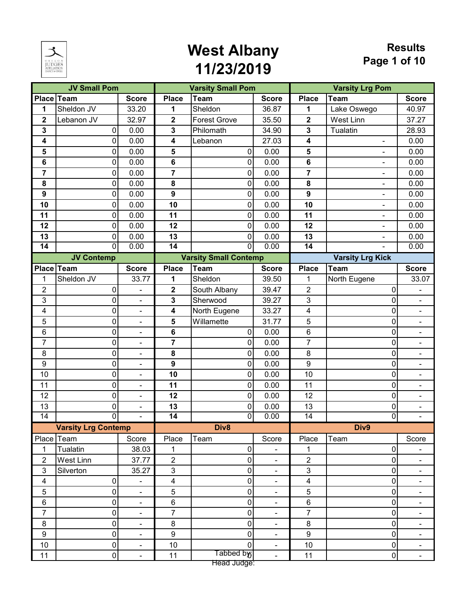

|                         | <b>JV Small Pom</b>        |                              |                         | <b>Varsity Small Pom</b>     |                          |                  | <b>Varsity Lrg Pom</b>   |                              |  |  |
|-------------------------|----------------------------|------------------------------|-------------------------|------------------------------|--------------------------|------------------|--------------------------|------------------------------|--|--|
| Place Team              |                            | <b>Score</b>                 | <b>Place</b>            | <b>Team</b>                  | <b>Score</b>             | <b>Place</b>     | Team                     | <b>Score</b>                 |  |  |
| 1                       | Sheldon JV                 | 33.20                        | 1                       | Sheldon                      | 36.87                    | 1                | Lake Oswego              | 40.97                        |  |  |
| $\mathbf 2$             | Lebanon JV                 | 32.97                        | $\mathbf{2}$            | <b>Forest Grove</b>          | 35.50                    | $\mathbf 2$      | West Linn                | 37.27                        |  |  |
| 3                       | $\overline{0}$             | 0.00                         | 3                       | Philomath                    | 34.90                    | 3                | Tualatin                 | 28.93                        |  |  |
| 4                       | 0                          | 0.00                         | 4                       | Lebanon                      | 27.03                    | 4                |                          | 0.00                         |  |  |
| 5                       | 0                          | 0.00                         | 5                       | 0                            | 0.00                     | 5                | ä,                       | 0.00                         |  |  |
| 6                       | 0                          | 0.00                         | 6                       | $\pmb{0}$                    | 0.00                     | 6                | $\overline{a}$           | 0.00                         |  |  |
| 7                       | 0                          | 0.00                         | 7                       | $\pmb{0}$                    | 0.00                     | 7                | -                        | 0.00                         |  |  |
| 8                       | 0                          | 0.00                         | 8                       | $\pmb{0}$                    | 0.00                     | 8                | $\blacksquare$           | 0.00                         |  |  |
| $\boldsymbol{9}$        | 0                          | 0.00                         | $\boldsymbol{9}$        | $\pmb{0}$                    | 0.00                     | 9                | ۰                        | 0.00                         |  |  |
| 10                      | 0                          | 0.00                         | 10                      | $\mathsf 0$                  | 0.00                     | 10               |                          | 0.00                         |  |  |
| 11                      | 0                          | 0.00                         | 11                      | 0                            | 0.00                     | 11               | $\blacksquare$           | 0.00                         |  |  |
| 12                      | 0                          | 0.00                         | 12                      | 0                            | 0.00                     | 12               | $\overline{\phantom{a}}$ | 0.00                         |  |  |
| 13                      | 0                          | 0.00                         | 13                      | $\pmb{0}$                    | 0.00                     | 13               |                          | 0.00                         |  |  |
| $\overline{14}$         | 0                          | 0.00                         | $\overline{14}$         | $\overline{0}$               | 0.00                     | $\overline{14}$  | $\overline{\phantom{a}}$ | 0.00                         |  |  |
|                         | <b>JV Contemp</b>          |                              |                         | <b>Varsity Small Contemp</b> |                          |                  | <b>Varsity Lrg Kick</b>  |                              |  |  |
|                         | Place Team                 | <b>Score</b>                 | <b>Place</b>            | <b>Team</b>                  | <b>Score</b>             | <b>Place</b>     | Team                     | <b>Score</b>                 |  |  |
| 1                       | Sheldon JV                 | 33.77                        | 1                       | Sheldon                      | 39.50                    | 1                | North Eugene             | 33.07                        |  |  |
| $\overline{2}$          | 0                          | $\blacksquare$               | $\mathbf 2$             | South Albany                 | 39.47                    | $\overline{2}$   | 0                        |                              |  |  |
| 3                       | 0                          | $\blacksquare$               | 3                       | Sherwood                     | 39.27                    | 3                | 0                        | $\qquad \qquad \blacksquare$ |  |  |
| 4                       | 0                          | $\qquad \qquad \blacksquare$ | $\overline{\mathbf{4}}$ | North Eugene                 | 33.27                    | 4                | 0                        | ۰                            |  |  |
| 5                       | 0                          | $\blacksquare$               | 5                       | Willamette                   | 31.77                    | 5                | 0                        | $\blacksquare$               |  |  |
| 6                       | 0                          | $\blacksquare$               | 6                       | 0                            | 0.00                     | 6                | 0                        | $\blacksquare$               |  |  |
| 7                       | 0                          | $\blacksquare$               | 7                       | 0                            | 0.00                     | 7                | 0                        | $\overline{\phantom{0}}$     |  |  |
| $\bf 8$                 | 0                          | $\blacksquare$               | 8                       | 0                            | 0.00                     | 8                | 0                        | $\blacksquare$               |  |  |
| $\boldsymbol{9}$        | 0                          | $\overline{\phantom{a}}$     | $\boldsymbol{9}$        | $\pmb{0}$                    | 0.00                     | $\boldsymbol{9}$ | 0                        | $\blacksquare$               |  |  |
| 10                      | 0                          | $\qquad \qquad \blacksquare$ | 10                      | $\pmb{0}$                    | 0.00                     | 10               | 0                        | ۰                            |  |  |
| 11                      | 0                          | $\blacksquare$               | 11                      | $\pmb{0}$                    | 0.00                     | 11               | 0                        | $\blacksquare$               |  |  |
| 12                      | 0                          | $\blacksquare$               | 12                      | $\pmb{0}$                    | 0.00                     | 12               | 0                        | $\blacksquare$               |  |  |
| 13                      | 0                          | $\qquad \qquad \blacksquare$ | 13                      | $\pmb{0}$                    | 0.00                     | 13               | 0                        | ۰                            |  |  |
| $\overline{14}$         | $\overline{0}$             | $\blacksquare$               | $\overline{14}$         | 0                            | 0.00                     | $\overline{14}$  | 0                        | $\blacksquare$               |  |  |
|                         | <b>Varsity Lrg Contemp</b> |                              |                         | Div <sub>8</sub>             |                          |                  | Div9                     |                              |  |  |
|                         | Place Team                 | Score                        | Place                   | Team                         | Score                    | Place            | Team                     | Score                        |  |  |
| 1                       | Tualatin                   | 38.03                        | 1                       | 0                            |                          | 1                | $\overline{0}$           |                              |  |  |
| $\overline{2}$          | West Linn                  | 37.77                        | $\overline{2}$          | $\pmb{0}$                    | $\blacksquare$           | $\overline{2}$   | $\overline{0}$           | $\blacksquare$               |  |  |
| 3                       | Silverton                  | 35.27                        | $\mathbf{3}$            | $\pmb{0}$                    | $\blacksquare$           | $\mathbf{3}$     | 0                        | $\blacksquare$               |  |  |
| $\overline{\mathbf{4}}$ | $\overline{0}$             | $\blacksquare$               | $\overline{\mathbf{4}}$ | 0                            | $\blacksquare$           | 4                | 0                        | $\blacksquare$               |  |  |
| 5                       | 0                          | $\qquad \qquad \blacksquare$ | 5                       | 0                            | $\blacksquare$           | 5                | 0                        | ٠                            |  |  |
| $\,6\,$                 | 0                          | $\blacksquare$               | $\,6$                   | 0                            | $\blacksquare$           | $\,6\,$          | 0                        | $\blacksquare$               |  |  |
| $\overline{7}$          | 0                          | $\blacksquare$               | $\overline{7}$          | 0                            | $\blacksquare$           | $\overline{7}$   | 0                        | $\blacksquare$               |  |  |
| 8                       | $\mathbf 0$                | $\overline{\phantom{a}}$     | 8                       | 0                            | $\overline{\phantom{a}}$ | $\bf 8$          | 0                        | ٠                            |  |  |
| $\boldsymbol{9}$        | 0                          | $\blacksquare$               | $\boldsymbol{9}$        | 0                            | $\blacksquare$           | $\boldsymbol{9}$ | 0                        | $\blacksquare$               |  |  |
| 10                      | 0                          | $\blacksquare$               | 10                      | $\overline{0}$               | $\blacksquare$           | 10               | $\overline{0}$           | $\blacksquare$               |  |  |
| 11                      | $\overline{0}$             | $\qquad \qquad \blacksquare$ | 11                      | Tabbed by;                   |                          | 11               | $\overline{0}$           | ۰                            |  |  |
|                         |                            |                              |                         | Head Judge:                  |                          |                  |                          |                              |  |  |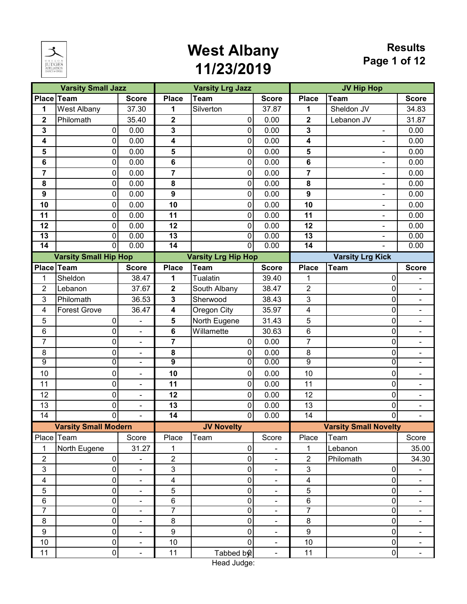

#### **Results Page 1 of 12**

|                         | <b>Varsity Small Jazz</b>    |                              |                         | <b>Varsity Lrg Jazz</b>    |                          |                         | <b>JV Hip Hop</b>            |                          |
|-------------------------|------------------------------|------------------------------|-------------------------|----------------------------|--------------------------|-------------------------|------------------------------|--------------------------|
| <b>Place</b>            | Team                         | <b>Score</b>                 | <b>Place</b>            | <b>Team</b>                | <b>Score</b>             | <b>Place</b>            | <b>Team</b>                  | <b>Score</b>             |
| 1                       | West Albany                  | 37.30                        | 1                       | Silverton                  | 37.87                    | 1                       | Sheldon JV                   | 34.83                    |
| $\mathbf{2}$            | Philomath                    | 35.40                        | $\mathbf 2$             | 0                          | 0.00                     | $\mathbf 2$             | Lebanon JV                   | 31.87                    |
| 3                       | $\overline{0}$               | 0.00                         | 3                       | $\pmb{0}$                  | 0.00                     | $\mathbf{3}$            |                              | 0.00                     |
| 4                       | 0                            | 0.00                         | 4                       | 0                          | 0.00                     | $\overline{\mathbf{4}}$ | $\frac{1}{2}$                | 0.00                     |
| 5                       | 0                            | 0.00                         | 5                       | 0                          | 0.00                     | 5                       |                              | 0.00                     |
| 6                       | $\overline{0}$               | 0.00                         | $\bf 6$                 | $\pmb{0}$                  | 0.00                     | 6                       | $\overline{a}$               | 0.00                     |
| 7                       | 0                            | 0.00                         | $\overline{\mathbf{r}}$ | $\pmb{0}$                  | 0.00                     | $\overline{\mathbf{z}}$ | $\frac{1}{2}$                | 0.00                     |
| 8                       | 0                            | 0.00                         | 8                       | $\pmb{0}$                  | 0.00                     | 8                       |                              | 0.00                     |
| $\boldsymbol{9}$        | $\overline{0}$               | 0.00                         | $\boldsymbol{9}$        | $\pmb{0}$                  | 0.00                     | $\boldsymbol{9}$        | $\overline{a}$               | 0.00                     |
| 10                      | 0                            | 0.00                         | 10                      | $\pmb{0}$                  | 0.00                     | 10                      | $\frac{1}{2}$                | 0.00                     |
| 11                      | 0                            | 0.00                         | 11                      | 0                          | 0.00                     | 11                      |                              | 0.00                     |
| 12                      | 0                            | 0.00                         | 12                      | 0                          | 0.00                     | 12                      | ÷,                           | 0.00                     |
| $\overline{13}$         | $\overline{0}$               | 0.00                         | 13                      | $\overline{\mathsf{o}}$    | 0.00                     | $\overline{13}$         |                              | 0.00                     |
| $\overline{14}$         | $\overline{0}$               | 0.00                         | $\overline{14}$         | $\overline{0}$             | 0.00                     | $\overline{14}$         | $\blacksquare$               | 0.00                     |
|                         | <b>Varsity Small Hip Hop</b> |                              |                         | <b>Varsity Lrg Hip Hop</b> |                          |                         | <b>Varsity Lrg Kick</b>      |                          |
|                         | Place Team                   | <b>Score</b>                 | <b>Place</b>            | <b>Team</b>                | <b>Score</b>             | <b>Place</b>            | <b>Team</b>                  | <b>Score</b>             |
| 1                       | Sheldon                      | 38.47                        | 1                       | Tualatin                   | 39.40                    | 1                       | 0                            |                          |
| $\overline{2}$          | Lebanon                      | 37.67                        | $\overline{\mathbf{2}}$ | South Albany               | 38.47                    | $\overline{2}$          | 0                            | $\blacksquare$           |
| 3                       | Philomath                    | 36.53                        | 3                       | Sherwood                   | 38.43                    | 3                       | 0                            | $\blacksquare$           |
| 4                       | <b>Forest Grove</b>          | 36.47                        | 4                       | Oregon City                | 35.97                    | 4                       | 0                            | $\overline{\phantom{0}}$ |
| 5                       | 0                            | ÷,                           | 5                       | North Eugene               | 31.43                    | 5                       | 0                            | $\frac{1}{2}$            |
| $\,6$                   | 0                            | $\blacksquare$               | $6\phantom{1}$          | Willamette                 | 30.63                    | $\,6$                   | 0                            | $\blacksquare$           |
| 7                       | 0                            | $\qquad \qquad \blacksquare$ | 7                       | 0                          | 0.00                     | $\overline{7}$          | 0                            | ۰                        |
| 8                       | 0                            | $\blacksquare$               | 8                       | 0                          | 0.00                     | 8                       | 0                            | $\blacksquare$           |
| $\overline{9}$          | $\overline{0}$               | $\overline{\phantom{a}}$     | $\overline{9}$          | $\overline{0}$             | 0.00                     | $\overline{9}$          | $\overline{0}$               | $\blacksquare$           |
| 10                      | 0                            | ۰                            | 10                      | $\pmb{0}$                  | 0.00                     | 10                      | 0                            | ۰                        |
| 11                      | 0                            | $\overline{\phantom{a}}$     | 11                      | $\pmb{0}$                  | 0.00                     | 11                      | 0                            | $\blacksquare$           |
| 12                      | 0                            | $\blacksquare$               | 12                      | $\pmb{0}$                  | 0.00                     | 12                      | 0                            | $\overline{\phantom{0}}$ |
| 13                      | $\mathbf 0$                  | ۰                            | 13                      | $\pmb{0}$                  | 0.00                     | 13                      | 0                            | ۳                        |
| 14                      | 0                            | $\blacksquare$               | 14                      | 0                          | 0.00                     | 14                      | 0                            | $\blacksquare$           |
|                         | <b>Varsity Small Modern</b>  |                              |                         | <b>JV Novelty</b>          |                          |                         | <b>Varsity Small Novelty</b> |                          |
|                         | Place Team                   | Score                        | Place                   | Team                       | Score                    | Place                   | Team                         | Score                    |
| 1                       | North Eugene                 | 31.27                        | 1                       | 0                          |                          | 1                       | Lebanon                      | 35.00                    |
| $\overline{2}$          | $\overline{0}$               | $\blacksquare$               | $\overline{2}$          | 0                          | $\blacksquare$           | $\overline{2}$          | Philomath                    | 34.30                    |
| 3                       | $\overline{0}$               | $\qquad \qquad \blacksquare$ | $\mathbf{3}$            | $\mathbf 0$                | $\overline{\phantom{a}}$ | $\mathfrak{S}$          | $\overline{0}$               | -                        |
| $\overline{\mathbf{4}}$ | 0                            | $\blacksquare$               | $\overline{\mathbf{4}}$ | 0                          | $\blacksquare$           | $\overline{\mathbf{4}}$ | $\overline{0}$               | $\blacksquare$           |
| 5                       | 0                            | $\overline{\phantom{a}}$     | 5                       | 0                          | $\blacksquare$           | 5                       | 0                            | ۰.                       |
| $\,6$                   | $\boldsymbol{0}$             | $\overline{\phantom{a}}$     | $\,6$                   | $\pmb{0}$                  | $\overline{\phantom{a}}$ | $\,6\,$                 | $\overline{0}$               | ۰                        |
| $\overline{7}$          | $\overline{0}$               | $\qquad \qquad \blacksquare$ | 7                       | $\overline{0}$             | $\overline{\phantom{a}}$ | 7                       | 0                            |                          |
| 8                       | 0                            | $\qquad \qquad \blacksquare$ | 8                       | 0                          | $\blacksquare$           | 8                       | 0                            | ۰                        |
| $\boldsymbol{9}$        | $\overline{0}$               | ä,                           | 9                       | 0                          | ä,                       | 9                       | 0                            | $\frac{1}{2}$            |
| 10                      | $\overline{0}$               | $\blacksquare$               | 10                      | $\pmb{0}$                  | $\blacksquare$           | 10                      | $\overline{0}$               | $\blacksquare$           |
| 11                      | 0                            | $\blacksquare$               | 11                      | Tabbed by                  | $\blacksquare$           | 11                      | $\overline{0}$               | ۰.                       |

Head Judge: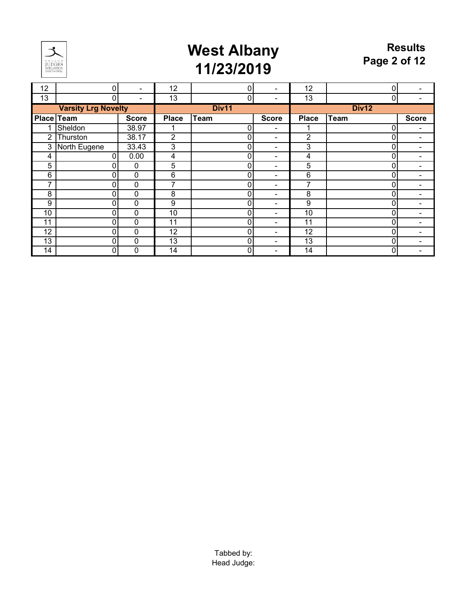

| 12 | 0                                 |              | 12           | 0              |                          | 12           | 0           |                          |
|----|-----------------------------------|--------------|--------------|----------------|--------------------------|--------------|-------------|--------------------------|
| 13 | 0                                 |              | 13           | $\pmb{0}$      |                          | 13           | 0           |                          |
|    | <b>Varsity Lrg Novelty</b>        |              |              | Div11          |                          |              | Div12       |                          |
|    | <b>Place Team</b><br><b>Score</b> |              | <b>Place</b> | <b>Team</b>    | <b>Score</b>             | <b>Place</b> | <b>Team</b> | <b>Score</b>             |
| 1  | Sheldon                           | 38.97        |              | $\pmb{0}$      | $\overline{\phantom{a}}$ |              | 0           | ۰                        |
| 2  | Thurston                          | 38.17        | 2            | $\pmb{0}$      | $\overline{\phantom{a}}$ | 2            | 0           | $\overline{\phantom{a}}$ |
| 3  | North Eugene                      | 33.43        | 3            | $\pmb{0}$      | $\overline{\phantom{a}}$ | 3            | 0           | ۰                        |
| 4  | $\overline{0}$                    | 0.00         | 4            | $\overline{0}$ | $\overline{\phantom{a}}$ | 4            | 0           | ۰                        |
| 5  | 0                                 | $\mathbf 0$  | 5            | $\pmb{0}$      | $\overline{\phantom{0}}$ | 5            |             |                          |
| 6  | 0                                 | 0            | 6            | 0              | $\overline{\phantom{0}}$ | 6            |             |                          |
| 7  | 0                                 | $\mathbf 0$  | 7            | $\mathbf 0$    | $\overline{\phantom{0}}$ | ⇁            |             |                          |
| 8  | 0                                 | 0            | 8            | 0              | $\blacksquare$           | 8            |             |                          |
| 9  | 0                                 | $\mathbf 0$  | 9            | $\mathbf 0$    | $\overline{\phantom{0}}$ | 9            |             |                          |
| 10 | 0                                 | $\mathbf{0}$ | 10           | $\pmb{0}$      | $\blacksquare$           | 10           |             |                          |
| 11 | 0                                 | $\mathbf 0$  | 11           | $\pmb{0}$      |                          | 11           |             |                          |
| 12 | 0                                 | 0            | 12           | 0              | $\overline{\phantom{0}}$ | 12           |             |                          |
| 13 | 0                                 | 0            | 13           | 0              | ۰                        | 13           |             |                          |
| 14 | 0                                 | 0            | 14           | 0              |                          | 14           | 0           |                          |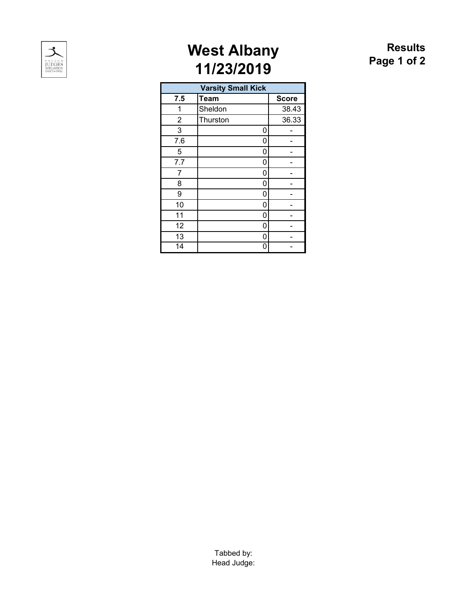

#### **Results Page 1 of 2**

| <b>Varsity Small Kick</b> |             |              |  |  |  |  |  |  |
|---------------------------|-------------|--------------|--|--|--|--|--|--|
| 7.5                       | <b>Team</b> | <b>Score</b> |  |  |  |  |  |  |
| 1                         | Sheldon     | 38.43        |  |  |  |  |  |  |
| $\overline{2}$            | Thurston    | 36.33        |  |  |  |  |  |  |
| 3                         | 0           |              |  |  |  |  |  |  |
| 7.6                       | 0           |              |  |  |  |  |  |  |
| 5                         | 0           |              |  |  |  |  |  |  |
| 7.7                       | 0           |              |  |  |  |  |  |  |
| 7                         | 0           |              |  |  |  |  |  |  |
| 8                         | 0           |              |  |  |  |  |  |  |
| 9                         | 0           |              |  |  |  |  |  |  |
| 10                        | 0           |              |  |  |  |  |  |  |
| 11                        | 0           |              |  |  |  |  |  |  |
| 12                        | 0           |              |  |  |  |  |  |  |
| 13                        | 0           |              |  |  |  |  |  |  |
| $\overline{14}$           | ი           |              |  |  |  |  |  |  |

Tabbed by: Head Judge: